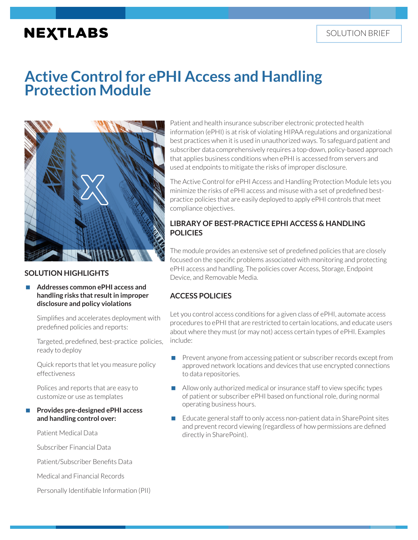# **NEXTLABS**

# **Active Control for ePHI Access and Handling Protection Module**



# **SOLUTION HIGHLIGHTS**

### **Addresses common ePHI access and handling risks that result in improper disclosure and policy violations**

Simplifies and accelerates deployment with predefined policies and reports:

Targeted, predefined, best-practice policies, ready to deploy

Quick reports that let you measure policy effectiveness

Polices and reports that are easy to customize or use as templates

## **Provides pre-designed ePHI access and handling control over:**

Patient Medical Data

Subscriber Financial Data

Patient/Subscriber Benefits Data

Medical and Financial Records

Personally Identifiable Information (PII)

Patient and health insurance subscriber electronic protected health information (ePHI) is at risk of violating HIPAA regulations and organizational best practices when it is used in unauthorized ways. To safeguard patient and subscriber data comprehensively requires a top-down, policy-based approach that applies business conditions when ePHI is accessed from servers and used at endpoints to mitigate the risks of improper disclosure.

The Active Control for ePHI Access and Handling Protection Module lets you minimize the risks of ePHI access and misuse with a set of predefined bestpractice policies that are easily deployed to apply ePHI controls that meet compliance objectives.

# **LIBRARY OF BEST-PRACTICE EPHI ACCESS & HANDLING POLICIES**

The module provides an extensive set of predefined policies that are closely focused on the specific problems associated with monitoring and protecting ePHI access and handling. The policies cover Access, Storage, Endpoint Device, and Removable Media.

# **ACCESS POLICIES**

Let you control access conditions for a given class of ePHI, automate access procedures to ePHI that are restricted to certain locations, and educate users about where they must (or may not) access certain types of ePHI. Examples include:

- **Prevent anyone from accessing patient or subscriber records except from** approved network locations and devices that use encrypted connections to data repositories.
- Allow only authorized medical or insurance staff to view specific types of patient or subscriber ePHI based on functional role, during normal operating business hours.
- Educate general staff to only access non-patient data in SharePoint sites and prevent record viewing (regardless of how permissions are defined directly in SharePoint).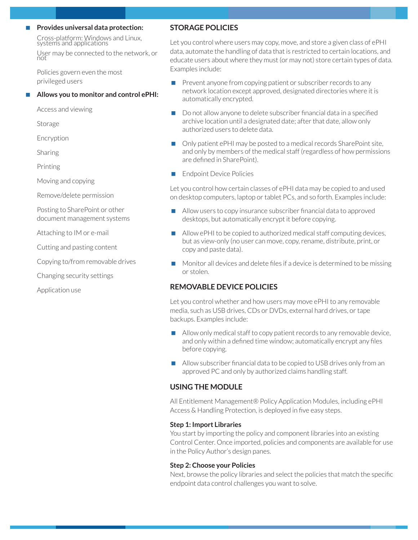## **Provides universal data protection:**

Cross-platform: Windows and Linux, systems and applications

User may be connected to the network, or not

Policies govern even the most privileged users

## **Allows you to monitor and control ePHI:**

Access and viewing

Storage

Encryption

Sharing

Printing

Moving and copying

Remove/delete permission

Posting to SharePoint or other document management systems

Attaching to IM or e-mail

Cutting and pasting content

Copying to/from removable drives

Changing security settings

Application use

## **STORAGE POLICIES**

Let you control where users may copy, move, and store a given class of ePHI data, automate the handling of data that is restricted to certain locations, and educate users about where they must (or may not) store certain types of data. Examples include:

- $\blacksquare$  Prevent anyone from copying patient or subscriber records to any network location except approved, designated directories where it is automatically encrypted.
- Do not allow anyone to delete subscriber financial data in a specified archive location until a designated date; after that date, allow only authorized users to delete data.
- Only patient ePHI may be posted to a medical records SharePoint site, and only by members of the medical staff (regardless of how permissions are defined in SharePoint).
- Endpoint Device Policies

Let you control how certain classes of ePHI data may be copied to and used on desktop computers, laptop or tablet PCs, and so forth. Examples include:

- Allow users to copy insurance subscriber financial data to approved desktops, but automatically encrypt it before copying.
- Allow ePHI to be copied to authorized medical staff computing devices, but as view-only (no user can move, copy, rename, distribute, print, or copy and paste data).
- $\blacksquare$  Monitor all devices and delete files if a device is determined to be missing or stolen.

## **REMOVABLE DEVICE POLICIES**

Let you control whether and how users may move ePHI to any removable media, such as USB drives, CDs or DVDs, external hard drives, or tape backups. Examples include:

- Allow only medical staff to copy patient records to any removable device, and only within a defined time window; automatically encrypt any files before copying.
- Allow subscriber financial data to be copied to USB drives only from an approved PC and only by authorized claims handling staff.

## **USING THE MODULE**

All Entitlement Management® Policy Application Modules, including ePHI Access & Handling Protection, is deployed in five easy steps.

#### **Step 1: Import Libraries**

You start by importing the policy and component libraries into an existing Control Center. Once imported, policies and components are available for use in the Policy Author's design panes.

#### **Step 2: Choose your Policies**

Next, browse the policy libraries and select the policies that match the specific endpoint data control challenges you want to solve.